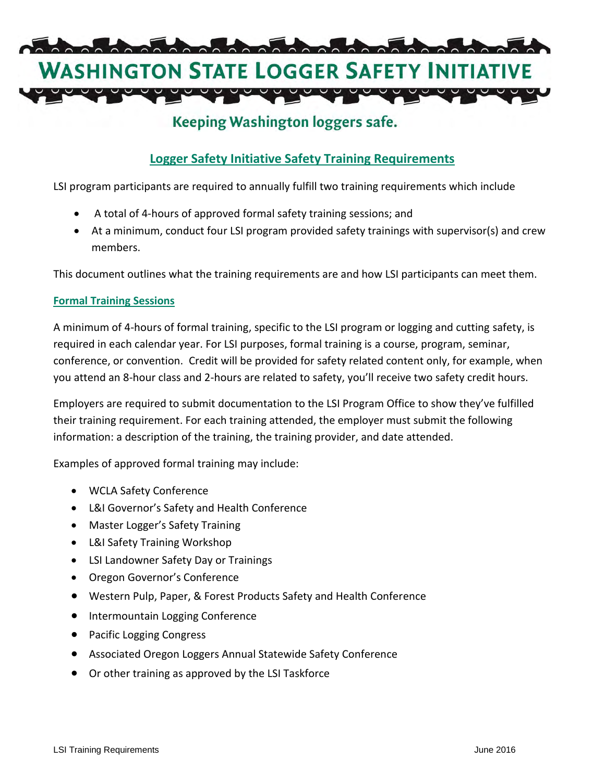

# Keeping Washington loggers safe.

# **Logger Safety Initiative Safety Training Requirements**

LSI program participants are required to annually fulfill two training requirements which include

- A total of 4-hours of approved formal safety training sessions; and
- At a minimum, conduct four LSI program provided safety trainings with supervisor(s) and crew members.

This document outlines what the training requirements are and how LSI participants can meet them.

#### **Formal Training Sessions**

A minimum of 4-hours of formal training, specific to the LSI program or logging and cutting safety, is required in each calendar year. For LSI purposes, formal training is a course, program, seminar, conference, or convention. Credit will be provided for safety related content only, for example, when you attend an 8-hour class and 2-hours are related to safety, you'll receive two safety credit hours.

Employers are required to submit documentation to the LSI Program Office to show they've fulfilled their training requirement. For each training attended, the employer must submit the following information: a description of the training, the training provider, and date attended.

Examples of approved formal training may include:

- WCLA Safety Conference
- L&I Governor's Safety and Health Conference
- Master Logger's Safety Training
- L&I Safety Training Workshop
- LSI Landowner Safety Day or Trainings
- Oregon Governor's Conference
- Western Pulp, Paper, & Forest Products Safety and Health Conference
- Intermountain Logging Conference
- Pacific Logging Congress
- Associated Oregon Loggers Annual Statewide Safety Conference
- Or other training as approved by the LSI Taskforce